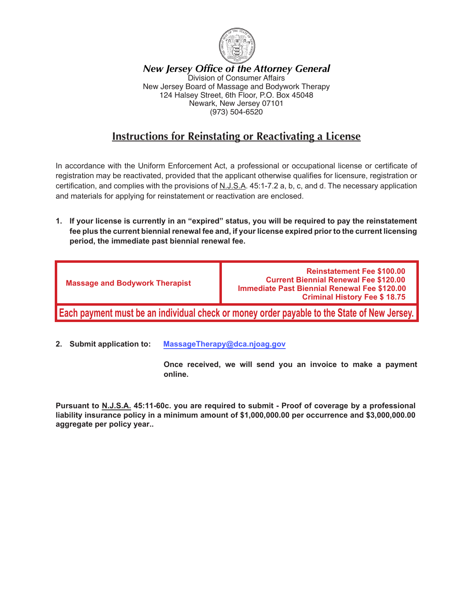

*New Jersey Office of the Attorney General* Division of Consumer Affairs New Jersey Board of Massage and Bodywork Therapy 124 Halsey Street, 6th Floor, P.O. Box 45048 Newark, New Jersey 07101 (973) 504-6520

### **Instructions for Reinstating or Reactivating a License**

In accordance with the Uniform Enforcement Act, a professional or occupational license or certificate of registration may be reactivated, provided that the applicant otherwise qualifies for licensure, registration or certification, and complies with the provisions of N.J.S.A. 45:1-7.2 a, b, c, and d. The necessary application and materials for applying for reinstatement or reactivation are enclosed.

**1. If your license is currently in an "expired" status, you will be required to pay the reinstatement fee plus the current biennial renewal fee and, if your license expired prior to the current licensing period, the immediate past biennial renewal fee.**

| <b>Massage and Bodywork Therapist</b> | <b>Reinstatement Fee \$100.00</b><br><b>Current Biennial Renewal Fee \$120.00</b><br><b>Immediate Past Biennial Renewal Fee \$120.00</b><br><b>Criminal History Fee \$18.75</b> |
|---------------------------------------|---------------------------------------------------------------------------------------------------------------------------------------------------------------------------------|
|                                       | <b>Each payment must be an individual check or money order payable to the State of New Jersey.</b>                                                                              |

**2. Submit application to: MassageTherapy@dca.njoag.gov**

**Once received, we will send you an invoice to make a payment online.**

**Pursuant to N.J.S.A. 45:11-60c. you are required to submit - Proof of coverage by a professional liability insurance policy in a minimum amount of \$1,000,000.00 per occurrence and \$3,000,000.00 aggregate per policy year..**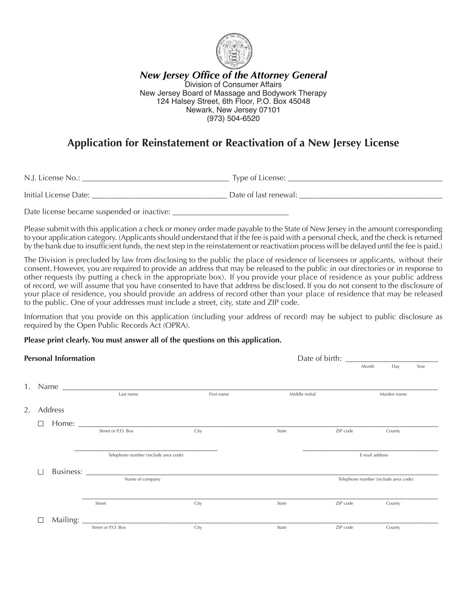

*New Jersey Office of the Attorney General* Division of Consumer Affairs New Jersey Board of Massage and Bodywork Therapy 124 Halsey Street, 6th Floor, P.O. Box 45048 Newark, New Jersey 07101 (973) 504-6520

## **Application for Reinstatement or Reactivation of a New Jersey License**

N.J. License No.: \_\_\_\_\_\_\_\_\_\_\_\_\_\_\_\_\_\_\_\_\_\_\_\_\_\_\_\_\_\_\_\_\_\_\_\_\_\_ Type of License: \_\_\_\_\_\_\_\_\_\_\_\_\_\_\_\_\_\_\_\_\_\_\_\_\_\_\_\_\_\_\_\_\_\_\_\_\_\_\_\_

Initial License Date: \_\_\_\_\_\_\_\_\_\_\_\_\_\_\_\_\_\_\_\_\_\_\_\_\_\_\_\_\_\_\_\_\_\_\_ Date of last renewal: \_\_\_\_\_\_\_\_\_\_\_\_\_\_\_\_\_\_\_\_\_\_\_\_\_\_\_\_\_\_\_\_\_\_\_\_\_

Date license became suspended or inactive:

Please submit with this application a check or money order made payable to the State of New Jersey in the amount corresponding to your application category. (Applicants should understand that if the fee is paid with a personal check, and the check is returned by the bank due to insufficient funds, the next step in the reinstatement or reactivation process will be delayed until the fee is paid.)

The Division is precluded by law from disclosing to the public the place of residence of licensees or applicants, without their consent. However, you are required to provide an address that may be released to the public in our directories or in response to other requests (by putting a check in the appropriate box). If you provide your place of residence as your public address of record, we will assume that you have consented to have that address be disclosed. If you do not consent to the disclosure of your place of residence, you should provide an address of record other than your place of residence that may be released to the public. One of your addresses must include a street, city, state and ZIP code.

Information that you provide on this application (including your address of record) may be subject to public disclosure as required by the Open Public Records Act (OPRA).

#### **Please print clearly. You must answer all of the questions on this application.**

| <b>Personal Information</b> |  |               | Date of birth:                       |            |                |          |                                      |     |      |
|-----------------------------|--|---------------|--------------------------------------|------------|----------------|----------|--------------------------------------|-----|------|
|                             |  |               |                                      |            |                |          | Month                                | Day | Year |
|                             |  |               |                                      |            |                |          |                                      |     |      |
|                             |  |               | Last name                            | First name | Middle initial |          | Maiden name                          |     |      |
| 2.                          |  | Address       |                                      |            |                |          |                                      |     |      |
|                             |  |               |                                      |            |                |          |                                      |     |      |
|                             |  |               | Street or P.O. Box                   | City       | State          | ZIP code | County                               |     |      |
|                             |  |               |                                      |            |                |          |                                      |     |      |
|                             |  |               | Telephone number (include area code) |            |                |          | E-mail address                       |     |      |
|                             |  |               |                                      |            |                |          |                                      |     |      |
|                             |  |               | Name of company                      |            |                |          | Telephone number (include area code) |     |      |
|                             |  |               |                                      |            |                |          |                                      |     |      |
|                             |  |               | Street                               | City       | State          | ZIP code | County                               |     |      |
|                             |  | Mailing: $\_$ |                                      |            |                |          |                                      |     |      |
|                             |  |               | Street or P.O. Box                   | City       | State          | ZIP code | County                               |     |      |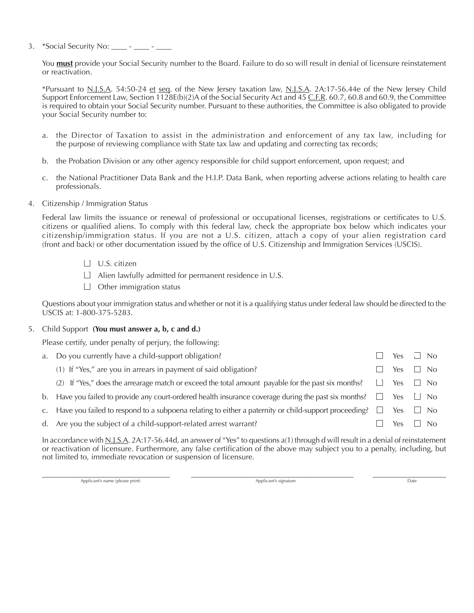3. \*Social Security No: \_\_\_\_ - \_\_\_

You **must** provide your Social Security number to the Board. Failure to do so will result in denial of licensure reinstatement or reactivation.

\*Pursuant to N.J.S.A. 54:50-24 et seq. of the New Jersey taxation law, N.J.S.A. 2A:17-56.44e of the New Jersey Child Support Enforcement Law, Section 1128E(b)(2)A of the Social Security Act and 45 C.F.R. 60.7, 60.8 and 60.9, the Committee is required to obtain your Social Security number. Pursuant to these authorities, the Committee is also obligated to provide your Social Security number to:

- a. the Director of Taxation to assist in the administration and enforcement of any tax law, including for the purpose of reviewing compliance with State tax law and updating and correcting tax records;
- b. the Probation Division or any other agency responsible for child support enforcement, upon request; and
- c. the National Practitioner Data Bank and the H.I.P. Data Bank, when reporting adverse actions relating to health care professionals.
- 4. Citizenship / Immigration Status

Federal law limits the issuance or renewal of professional or occupational licenses, registrations or certificates to U.S. citizens or qualified aliens. To comply with this federal law, check the appropriate box below which indicates your citizenship/immigration status. If you are not a U.S. citizen, attach a copy of your alien registration card (front and back) or other documentation issued by the office of U.S. Citizenship and Immigration Services (USCIS).

- $\Box$  U.S. citizen
- $\Box$  Alien lawfully admitted for permanent residence in U.S.
- $\Box$  Other immigration status

Questions about your immigration status and whether or not it is a qualifying status under federal law should be directed to the USCIS at: 1-800-375-5283.

#### 5. Child Support **(You must answer a, b, c and d.)**

Please certify, under penalty of perjury, the following:

| a. Do you currently have a child-support obligation?                                                                               |            | Yes <u>J</u> No |
|------------------------------------------------------------------------------------------------------------------------------------|------------|-----------------|
| (1) If "Yes," are you in arrears in payment of said obligation?                                                                    | Yes        | $\Box$ No       |
| (2) If "Yes," does the arrearage match or exceed the total amount payable for the past six months?                                 | $\Box$ Yes | $\Box$ No       |
| b. Have you failed to provide any court-ordered health insurance coverage during the past six months? $\square$ Yes $\square$ No   |            |                 |
| c. Have you failed to respond to a subpoena relating to either a paternity or child-support proceeding? $\square$ Yes $\square$ No |            |                 |
| d. Are you the subject of a child-support-related arrest warrant?                                                                  | Yes.       | No.             |
|                                                                                                                                    |            |                 |

In accordance with N.J.S.A. 2A:17-56.44d, an answer of "Yes" to questions a(1) through d will result in a denial of reinstatement or reactivation of licensure. Furthermore, any false certification of the above may subject you to a penalty, including, but not limited to, immediate revocation or suspension of licensure.

\_\_\_\_\_\_\_\_\_\_\_\_\_\_\_\_\_\_\_\_\_\_\_\_\_\_\_\_\_\_\_\_\_ \_\_\_\_\_\_\_\_\_\_\_\_\_\_\_\_\_\_\_\_\_\_\_\_\_\_\_\_\_\_\_\_\_\_\_\_\_\_\_\_\_\_ \_\_\_\_\_\_\_\_\_\_\_\_\_\_\_\_\_\_\_ Applicant's name (please print) and the control of the control of the Applicant's signature Date of the Date Date of the Date of the Date of the Date of the Date of the Date of the Date of the Date of the Date of the Date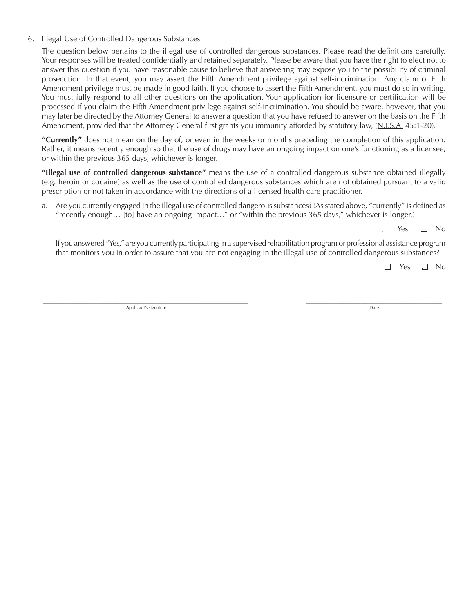#### 6. Illegal Use of Controlled Dangerous Substances

The question below pertains to the illegal use of controlled dangerous substances. Please read the definitions carefully. Your responses will be treated confidentially and retained separately. Please be aware that you have the right to elect not to answer this question if you have reasonable cause to believe that answering may expose you to the possibility of criminal prosecution. In that event, you may assert the Fifth Amendment privilege against self-incrimination. Any claim of Fifth Amendment privilege must be made in good faith. If you choose to assert the Fifth Amendment, you must do so in writing. You must fully respond to all other questions on the application. Your application for licensure or certification will be processed if you claim the Fifth Amendment privilege against self-incrimination. You should be aware, however, that you may later be directed by the Attorney General to answer a question that you have refused to answer on the basis on the Fifth Amendment, provided that the Attorney General first grants you immunity afforded by statutory law, (N.J.S.A. 45:1-20).

**"Currently"** does not mean on the day of, or even in the weeks or months preceding the completion of this application. Rather, it means recently enough so that the use of drugs may have an ongoing impact on one's functioning as a licensee, or within the previous 365 days, whichever is longer.

**"Illegal use of controlled dangerous substance"** means the use of a controlled dangerous substance obtained illegally (e.g. heroin or cocaine) as well as the use of controlled dangerous substances which are not obtained pursuant to a valid prescription or not taken in accordance with the directions of a licensed health care practitioner.

a. Are you currently engaged in the illegal use of controlled dangerous substances? (As stated above, "currently" is defined as "recently enough… [to] have an ongoing impact…" or "within the previous 365 days," whichever is longer.)

 $\Box$  Yes  $\Box$  No

If you answered "Yes," are you currently participating in a supervised rehabilitation program or professional assistance program that monitors you in order to assure that you are not engaging in the illegal use of controlled dangerous substances?

□ Yes □ No

\_\_\_\_\_\_\_\_\_\_\_\_\_\_\_\_\_\_\_\_\_\_\_\_\_\_\_\_\_\_\_\_\_\_\_\_\_\_\_\_\_\_\_\_\_\_\_\_\_\_\_\_\_ \_\_\_\_\_\_\_\_\_\_\_\_\_\_\_\_\_\_\_\_\_\_\_\_\_\_\_\_\_\_\_\_\_\_\_ Applicant's signature Date Date of the Date of the Date of the Date of the Date of the Date of the Date of the Date of the Date of the Date of the Date of the Date of the Date of the Date of the Date of the Date of the Dat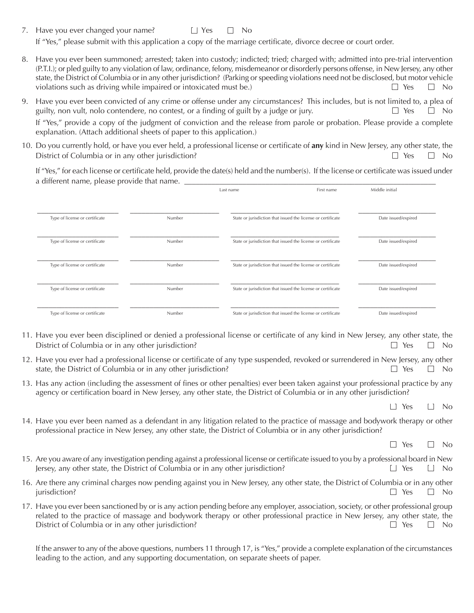- 7. Have you ever changed your name?  $\Box$  Yes  $\Box$  No If "Yes," please submit with this application a copy of the marriage certificate, divorce decree or court order.
- 8. Have you ever been summoned; arrested; taken into custody; indicted; tried; charged with; admitted into pre-trial intervention (P.T.I.); or pled guilty to any violation of law, ordinance, felony, misdemeanor or disorderly persons offense, in New Jersey, any other state, the District of Columbia or in any other jurisdiction? (Parking or speeding violations need not be disclosed, but motor vehicle violations such as driving while impaired or intoxicated must be.)  $\Box$  Yes  $\Box$  No
- 9. Have you ever been convicted of any crime or offense under any circumstances? This includes, but is not limited to, a plea of guilty, non vult, nolo contendere, no contest, or a finding of guilt by a judge or jury.  $\square$  Yes  $\square$  No

If "Yes," provide a copy of the judgment of conviction and the release from parole or probation. Please provide a complete explanation. (Attach additional sheets of paper to this application.)

10. Do you currently hold, or have you ever held, a professional license or certificate of **any** kind in New Jersey, any other state, the District of Columbia or in any other jurisdiction?  $\Box$  Yes  $\Box$  No

If "Yes," for each license or certificate held, provide the date(s) held and the number(s). If the license or certificate was issued under a different name, please provide that name.

|                                |        | Last name                                                    | First name | Middle initial      |
|--------------------------------|--------|--------------------------------------------------------------|------------|---------------------|
|                                |        |                                                              |            |                     |
| Type of license or certificate | Number | State or jurisdiction that issued the license or certificate |            | Date issued/expired |
| Type of license or certificate | Number | State or jurisdiction that issued the license or certificate |            | Date issued/expired |
| Type of license or certificate | Number | State or jurisdiction that issued the license or certificate |            | Date issued/expired |
| Type of license or certificate | Number | State or jurisdiction that issued the license or certificate |            | Date issued/expired |
| Type of license or certificate | Number | State or jurisdiction that issued the license or certificate |            | Date issued/expired |

- 11. Have you ever been disciplined or denied a professional license or certificate of any kind in New Jersey, any other state, the District of Columbia or in any other jurisdiction?  $\Box$  Yes  $\Box$  No
- 12. Have you ever had a professional license or certificate of any type suspended, revoked or surrendered in New Jersey, any other state, the District of Columbia or in any other jurisdiction?  $\Box$  Yes  $\Box$  No
- 13. Has any action (including the assessment of fines or other penalties) ever been taken against your professional practice by any agency or certification board in New Jersey, any other state, the District of Columbia or in any other jurisdiction?

 $\Box$  Yes  $\Box$  No

14. Have you ever been named as a defendant in any litigation related to the practice of massage and bodywork therapy or other professional practice in New Jersey, any other state, the District of Columbia or in any other jurisdiction?

 $\Box$  Yes  $\Box$  No

- 15. Are you aware of any investigation pending against a professional license or certificate issued to you by a professional board in New Jersey, any other state, the District of Columbia or in any other jurisdiction?  $\Box$  Yes  $\Box$  No
- 16. Are there any criminal charges now pending against you in New Jersey, any other state, the District of Columbia or in any other jurisdiction?  $\Box$  Yes  $\Box$  No.
- 17. Have you ever been sanctioned by or is any action pending before any employer, association, society, or other professional group related to the practice of massage and bodywork therapy or other professional practice in New Jersey, any other state, the District of Columbia or in any other jurisdiction?  $\Box$  Yes  $\Box$  No

If the answer to any of the above questions, numbers 11 through 17, is "Yes," provide a complete explanation of the circumstances leading to the action, and any supporting documentation, on separate sheets of paper.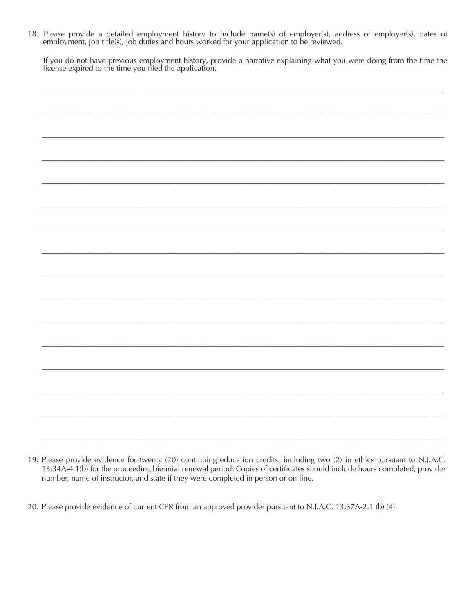18. Please provide a detailed employment history to include name(s) of employer(s), address of employer(s), dates of employment, job title(s), job duties and hours worked for your application to be reviewed.

If you do not have previous employment history, provide a narrative explaining what you were doing from the time the license expired to the time you filed the application.

- 19. Please provide evidence for twenty (20) continuing education credits, including two (2) in ethics pursuant to N.J.A.C. 13:34A-4.1(b) for the proceeding biennial renewal period. Copies of certificates should include hours completed, provider number, name of instructor, and state if they were completed in person or on line.
- 20. Please provide evidence of current CPR from an approved provider pursuant to N.J.A.C. 13:37A-2.1 (b) (4).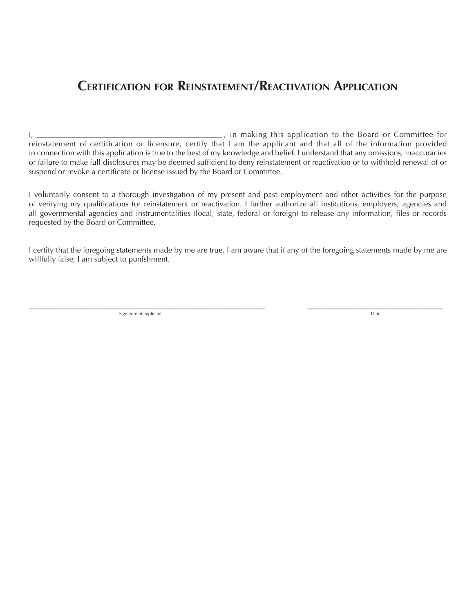# **Certification for Reinstatement/Reactivation Application**

I, \_\_\_\_\_\_\_\_\_\_\_\_\_\_\_\_\_\_\_\_\_\_\_\_\_\_\_\_\_\_\_\_\_\_\_\_\_\_\_\_\_\_\_\_\_\_\_\_ , in making this application to the Board or Committee for reinstatement of certification or licensure, certify that I am the applicant and that all of the information provided in connection with this application is true to the best of my knowledge and belief. I understand that any omissions, inaccuracies or failure to make full disclosures may be deemed sufficient to deny reinstatement or reactivation or to withhold renewal of or suspend or revoke a certificate or license issued by the Board or Committee.

I voluntarily consent to a thorough investigation of my present and past employment and other activities for the purpose of verifying my qualifications for reinstatement or reactivation. I further authorize all institutions, employers, agencies and all governmental agencies and instrumentalities (local, state, federal or foreign) to release any information, files or records requested by the Board or Committee.

I certify that the foregoing statements made by me are true. I am aware that if any of the foregoing statements made by me are willfully false, I am subject to punishment.

 $\_$  , and the set of the set of the set of the set of the set of the set of the set of the set of the set of the set of the set of the set of the set of the set of the set of the set of the set of the set of the set of th Signature of applicant **Date**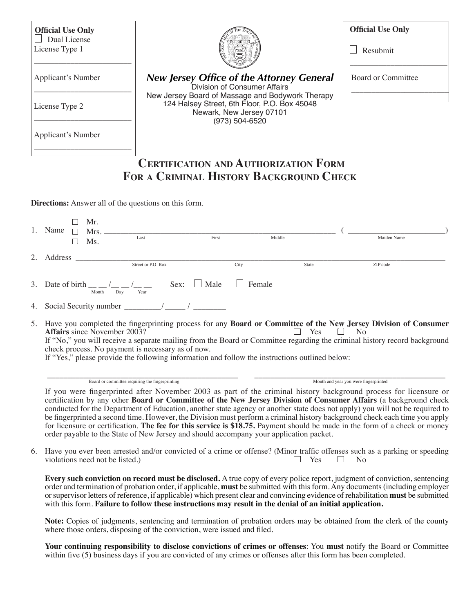| <b>Official Use Only</b><br>Dual License<br>License Type 1                                                                                                                                 |                                                 |                                            |                                                                                                  | <b>Official Use Only</b><br>Resubmit                                                                                                                                                                                                                              |
|--------------------------------------------------------------------------------------------------------------------------------------------------------------------------------------------|-------------------------------------------------|--------------------------------------------|--------------------------------------------------------------------------------------------------|-------------------------------------------------------------------------------------------------------------------------------------------------------------------------------------------------------------------------------------------------------------------|
| <b>Applicant's Number</b>                                                                                                                                                                  |                                                 | Division of Consumer Affairs               | <b>New Jersey Office of the Attorney General</b>                                                 | <b>Board or Committee</b>                                                                                                                                                                                                                                         |
| License Type 2                                                                                                                                                                             |                                                 | Newark, New Jersey 07101<br>(973) 504-6520 | New Jersey Board of Massage and Bodywork Therapy<br>124 Halsey Street, 6th Floor, P.O. Box 45048 |                                                                                                                                                                                                                                                                   |
| Applicant's Number                                                                                                                                                                         |                                                 |                                            |                                                                                                  |                                                                                                                                                                                                                                                                   |
| <b>Directions:</b> Answer all of the questions on this form.<br>Mr.<br>1. Name<br>$\Box$<br>Ms.<br>$\Box$                                                                                  | $Mrs.$ Last First                               |                                            | Middle                                                                                           | Maiden Name                                                                                                                                                                                                                                                       |
|                                                                                                                                                                                            |                                                 | City                                       | State                                                                                            | ZIP code                                                                                                                                                                                                                                                          |
| 3. Date of birth $\frac{1}{\text{Month}} / \frac{1}{\text{Day}} / \frac{1}{\text{Year}}$ Sex: $\Box$ Male $\Box$                                                                           |                                                 |                                            | Female                                                                                           |                                                                                                                                                                                                                                                                   |
|                                                                                                                                                                                            |                                                 |                                            |                                                                                                  |                                                                                                                                                                                                                                                                   |
| <b>Affairs</b> since November 2003?<br>check process. No payment is necessary as of now.<br>If "Yes," please provide the following information and follow the instructions outlined below: |                                                 |                                            | Yes                                                                                              | 5. Have you completed the fingerprinting process for any Board or Committee of the New Jersey Division of Consumer<br>N <sub>o</sub><br>If "No," you will receive a separate mailing from the Board or Committee regarding the criminal history record background |
|                                                                                                                                                                                            | Board or committee requiring the fingerprinting |                                            |                                                                                                  | Month and year you were fingerprinted                                                                                                                                                                                                                             |
|                                                                                                                                                                                            |                                                 |                                            |                                                                                                  | If you were fingerprinted after November 2003 as part of the criminal history background process for licensure or<br>certification by any other Board or Committee of the New Jersey Division of Consumer Affairs (a background check                             |

6. Have you ever been arrested and/or convicted of a crime or offense? (Minor traffic offenses such as a parking or speeding violations need not be listed.)  $\Box$  Yes  $\Box$  No violations need not be listed.)

**Every such conviction on record must be disclosed.** A true copy of every police report, judgment of conviction, sentencing order and termination of probation order, if applicable, **must** be submitted with thisform.Any documents(including employer orsupervisor letters of reference, if applicable) which present clear and convincing evidence of rehabilitation **must** be submitted with this form. **Failure to follow these instructions may result in the denial of an initial application.**

**Note:** Copies of judgments, sentencing and termination of probation orders may be obtained from the clerk of the county where those orders, disposing of the conviction, were issued and filed.

**Your continuing responsibility to disclose convictions of crimes or offenses**: You **must** notify the Board or Committee within five (5) business days if you are convicted of any crimes or offenses after this form has been completed.